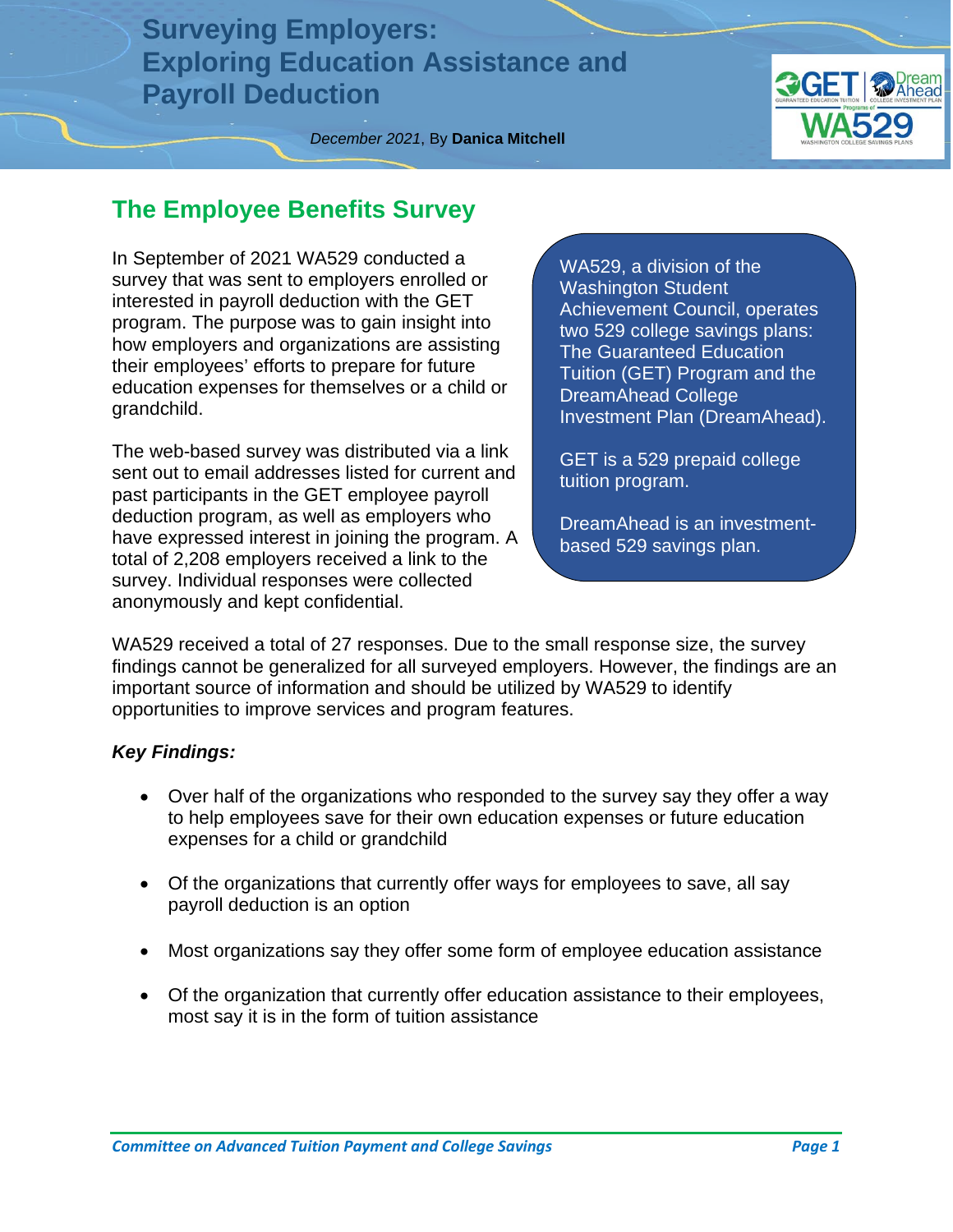**Surveying Employers: Exploring Education Assistance and Payroll Deduction**



*December 2021*, By **Danica Mitchell**

#### **The Employee Benefits Survey**

In September of 2021 WA529 conducted a survey that was sent to employers enrolled or interested in payroll deduction with the GET program. The purpose was to gain insight into how employers and organizations are assisting their employees' efforts to prepare for future education expenses for themselves or a child or grandchild.

The web-based survey was distributed via a link sent out to email addresses listed for current and past participants in the GET employee payroll deduction program, as well as employers who have expressed interest in joining the program. A total of 2,208 employers received a link to the survey. Individual responses were collected anonymously and kept confidential.

WA529, a division of the Washington Student Achievement Council, operates two 529 college savings plans: The Guaranteed Education Tuition (GET) Program and the DreamAhead College Investment Plan (DreamAhead).

GET is a 529 prepaid college tuition program.

DreamAhead is an investmentbased 529 savings plan.

WA529 received a total of 27 responses. Due to the small response size, the survey findings cannot be generalized for all surveyed employers. However, the findings are an important source of information and should be utilized by WA529 to identify opportunities to improve services and program features.

#### *Key Findings:*

- Over half of the organizations who responded to the survey say they offer a way to help employees save for their own education expenses or future education expenses for a child or grandchild
- Of the organizations that currently offer ways for employees to save, all say payroll deduction is an option
- Most organizations say they offer some form of employee education assistance
- Of the organization that currently offer education assistance to their employees, most say it is in the form of tuition assistance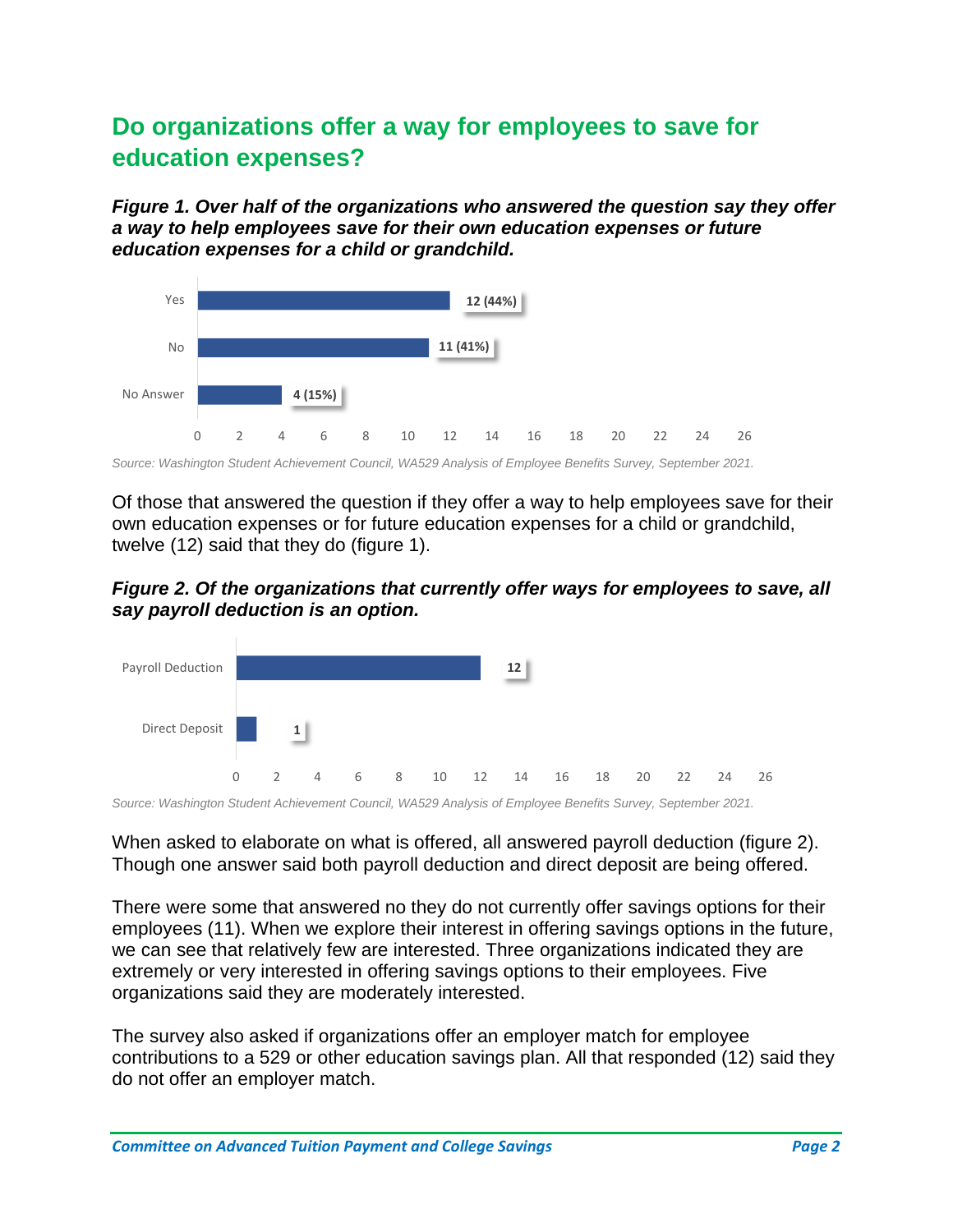### **Do organizations offer a way for employees to save for education expenses?**

*Figure 1. Over half of the organizations who answered the question say they offer a way to help employees save for their own education expenses or future education expenses for a child or grandchild.*



*Source: Washington Student Achievement Council, WA529 Analysis of Employee Benefits Survey, September 2021.*

Of those that answered the question if they offer a way to help employees save for their own education expenses or for future education expenses for a child or grandchild, twelve (12) said that they do (figure 1).

*Figure 2. Of the organizations that currently offer ways for employees to save, all say payroll deduction is an option.*



*Source: Washington Student Achievement Council, WA529 Analysis of Employee Benefits Survey, September 2021.*

When asked to elaborate on what is offered, all answered payroll deduction (figure 2). Though one answer said both payroll deduction and direct deposit are being offered.

There were some that answered no they do not currently offer savings options for their employees (11). When we explore their interest in offering savings options in the future, we can see that relatively few are interested. Three organizations indicated they are extremely or very interested in offering savings options to their employees. Five organizations said they are moderately interested.

The survey also asked if organizations offer an employer match for employee contributions to a 529 or other education savings plan. All that responded (12) said they do not offer an employer match.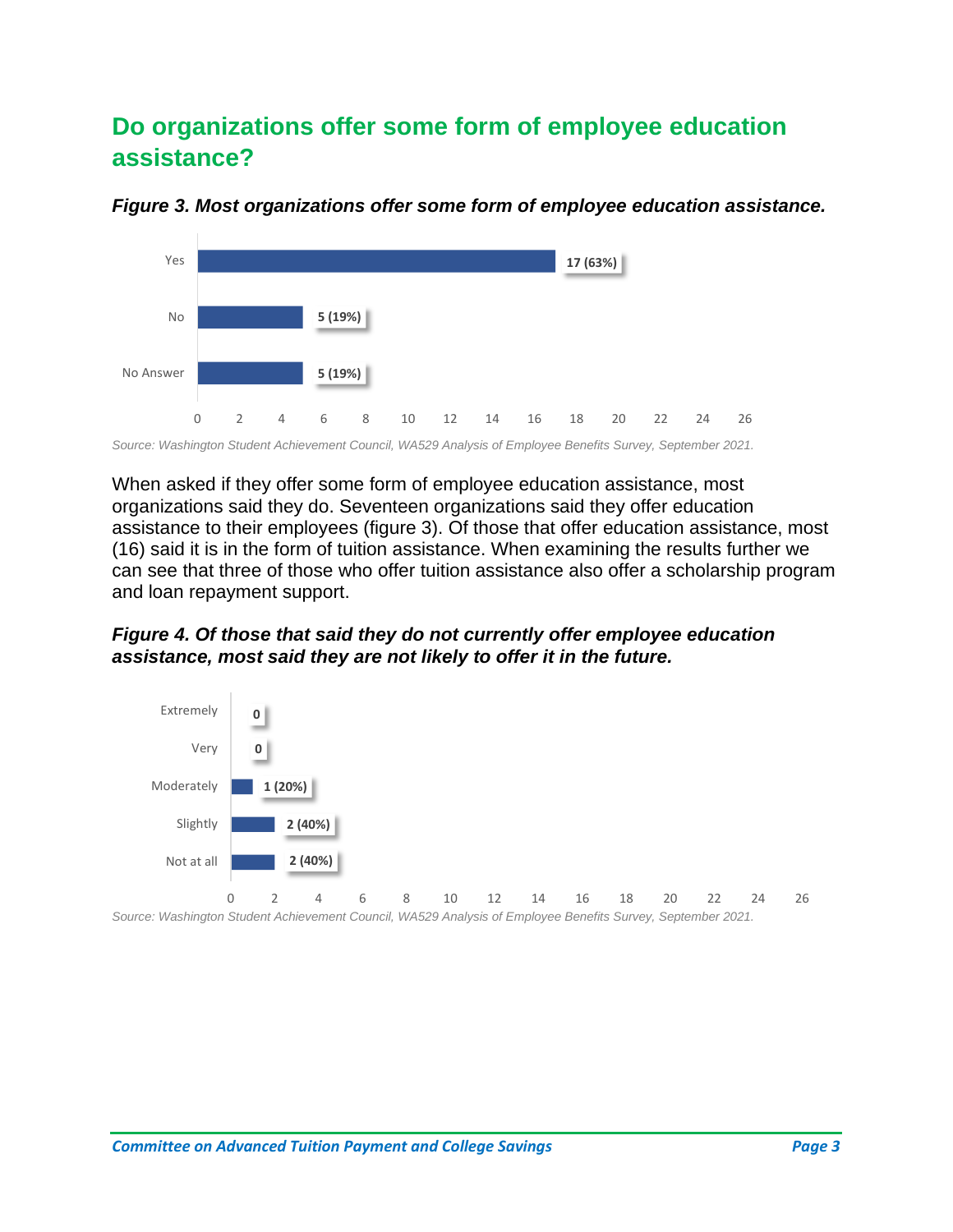### **Do organizations offer some form of employee education assistance?**



*Figure 3. Most organizations offer some form of employee education assistance.*

*Source: Washington Student Achievement Council, WA529 Analysis of Employee Benefits Survey, September 2021.*

When asked if they offer some form of employee education assistance, most organizations said they do. Seventeen organizations said they offer education assistance to their employees (figure 3). Of those that offer education assistance, most (16) said it is in the form of tuition assistance. When examining the results further we can see that three of those who offer tuition assistance also offer a scholarship program and loan repayment support.

*Figure 4. Of those that said they do not currently offer employee education assistance, most said they are not likely to offer it in the future.* 



*Source: Washington Student Achievement Council, WA529 Analysis of Employee Benefits Survey, September 2021.*